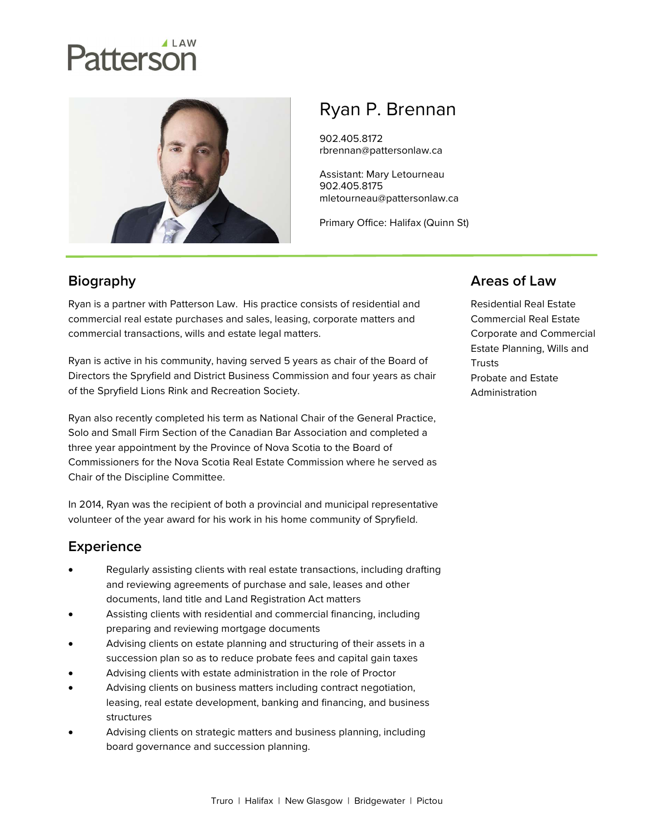# atterson



# Ryan P. Brennan

902.405.8172 rbrennan@pattersonlaw.ca

Assistant: Mary Letourneau 902.405.8175 mletourneau@pattersonlaw.ca

Primary Office: Halifax (Quinn St)

# **Biography**

Ryan is a partner with Patterson Law. His practice consists of residential and commercial real estate purchases and sales, leasing, corporate matters and commercial transactions, wills and estate legal matters.

Ryan is active in his community, having served 5 years as chair of the Board of Directors the Spryfield and District Business Commission and four years as chair of the Spryfield Lions Rink and Recreation Society.

Ryan also recently completed his term as National Chair of the General Practice, Solo and Small Firm Section of the Canadian Bar Association and completed a three year appointment by the Province of Nova Scotia to the Board of Commissioners for the Nova Scotia Real Estate Commission where he served as Chair of the Discipline Committee.

In 2014, Ryan was the recipient of both a provincial and municipal representative volunteer of the year award for his work in his home community of Spryfield.

## **Experience**

- Regularly assisting clients with real estate transactions, including drafting and reviewing agreements of purchase and sale, leases and other documents, land title and Land Registration Act matters
- Assisting clients with residential and commercial financing, including preparing and reviewing mortgage documents
- Advising clients on estate planning and structuring of their assets in a succession plan so as to reduce probate fees and capital gain taxes
- Advising clients with estate administration in the role of Proctor
- Advising clients on business matters including contract negotiation, leasing, real estate development, banking and financing, and business structures
- Advising clients on strategic matters and business planning, including board governance and succession planning.

### Areas of Law

Residential Real Estate Commercial Real Estate Corporate and Commercial Estate Planning, Wills and **Trusts** Probate and Estate Administration